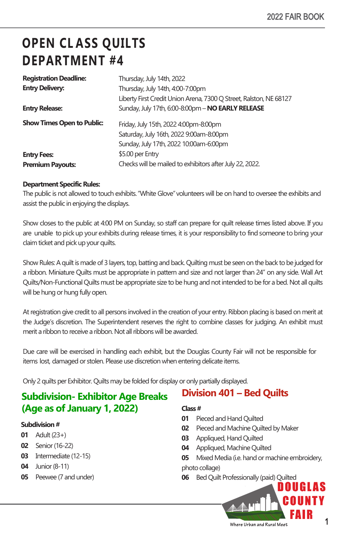# **OPEN CL ASS QUILTS DEPARTMENT #4**

| <b>Registration Deadline:</b>     | Thursday, July 14th, 2022                                          |
|-----------------------------------|--------------------------------------------------------------------|
| <b>Entry Delivery:</b>            | Thursday, July 14th, 4:00-7:00pm                                   |
|                                   | Liberty First Credit Union Arena, 7300 Q Street, Ralston, NE 68127 |
| <b>Entry Release:</b>             | Sunday, July 17th, 6:00-8:00pm - NO EARLY RELEASE                  |
| <b>Show Times Open to Public:</b> | Friday, July 15th, 2022 4:00pm-8:00pm                              |
|                                   | Saturday, July 16th, 2022 9:00am-8:00pm                            |
|                                   | Sunday, July 17th, 2022 10:00am-6:00pm                             |
| <b>Entry Fees:</b>                | \$5.00 per Entry                                                   |
| <b>Premium Payouts:</b>           | Checks will be mailed to exhibitors after July 22, 2022.           |
|                                   |                                                                    |

#### **Department Specific Rules:**

The public is not allowed to touch exhibits. "White Glove"volunteers will be on hand to oversee the exhibits and assist the public in enjoying the displays.

Show closes to the public at 4:00 PM on Sunday, so staff can prepare for quilt release times listed above. If you are unable to pick up your exhibits during release times, it is your responsibility to find someone to bring your claim ticket and pick up your quilts.

Show Rules: A quilt is made of 3 layers, top, batting and back. Quilting must be seen on the back to be judged for a ribbon. Miniature Quilts must be appropriate in pattern and size and not larger than 24" on any side. Wall Art Quilts/Non-Functional Quilts must be appropriate size to be hung and not intended to be for a bed. Not all quilts will be hung or hung fully open.

At registration give credit to all persons involved in the creation of your entry. Ribbon placing is based on merit at the Judge's discretion. The Superintendent reserves the right to combine classes for judging. An exhibit must merit a ribbon to receive a ribbon. Not all ribbons will be awarded.

Due care will be exercised in handling each exhibit, but the Douglas County Fair will not be responsible for items lost, damaged or stolen. Please use discretion when entering delicate items.

Only 2 quilts per Exhibitor. Quilts may be folded for display or only partially displayed.

### **Subdivision- Exhibitor Age Breaks (Age as of January 1, 2022)**

#### **Subdivision #**

- **01** Adult (23+)
- **02** Senior (16-22)
- **03** Intermediate (12-15)
- **04** Junior (8-11)
- **05** Peewee (7 and under)

# **Class #**

- **01** Pieced and Hand Quilted
- **02** Pieced and Machine Quilted by Maker

**Division 401 – Bed Quilts** 

- **03** Appliqued, Hand Quilted
- **04** Appliqued, Machine Quilted
- **05** Mixed Media (i.e. hand or machine embroidery, photo collage)
- **06** Bed Quilt Professionally (paid) Quilted